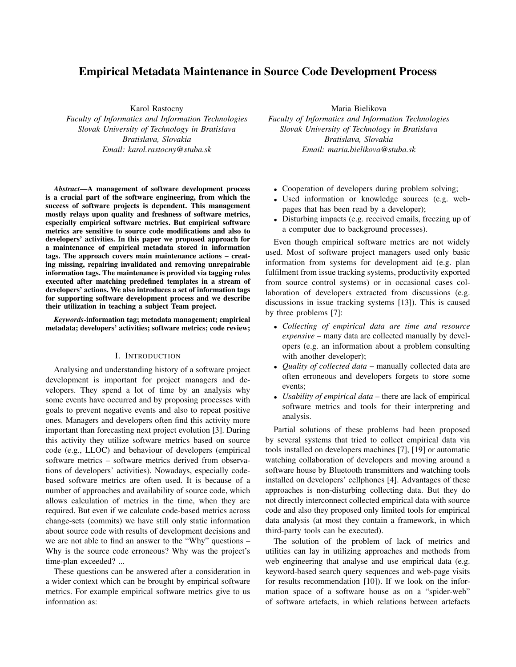# Empirical Metadata Maintenance in Source Code Development Process

Karol Rastocny *Faculty of Informatics and Information Technologies Slovak University of Technology in Bratislava Bratislava, Slovakia Email: karol.rastocny@stuba.sk*

*Abstract*—A management of software development process is a crucial part of the software engineering, from which the success of software projects is dependent. This management mostly relays upon quality and freshness of software metrics, especially empirical software metrics. But empirical software metrics are sensitive to source code modifications and also to developers' activities. In this paper we proposed approach for a maintenance of empirical metadata stored in information tags. The approach covers main maintenance actions – creating missing, repairing invalidated and removing unrepairable information tags. The maintenance is provided via tagging rules executed after matching predefined templates in a stream of developers' actions. We also introduces a set of information tags for supporting software development process and we describe their utilization in teaching a subject Team project.

*Keywords*-information tag; metadata management; empirical metadata; developers' activities; software metrics; code review;

## I. INTRODUCTION

Analysing and understanding history of a software project development is important for project managers and developers. They spend a lot of time by an analysis why some events have occurred and by proposing processes with goals to prevent negative events and also to repeat positive ones. Managers and developers often find this activity more important than forecasting next project evolution [3]. During this activity they utilize software metrics based on source code (e.g., LLOC) and behaviour of developers (empirical software metrics – software metrics derived from observations of developers' activities). Nowadays, especially codebased software metrics are often used. It is because of a number of approaches and availability of source code, which allows calculation of metrics in the time, when they are required. But even if we calculate code-based metrics across change-sets (commits) we have still only static information about source code with results of development decisions and we are not able to find an answer to the "Why" questions – Why is the source code erroneous? Why was the project's time-plan exceeded? ...

These questions can be answered after a consideration in a wider context which can be brought by empirical software metrics. For example empirical software metrics give to us information as:

Maria Bielikova *Faculty of Informatics and Information Technologies Slovak University of Technology in Bratislava Bratislava, Slovakia Email: maria.bielikova@stuba.sk*

- Cooperation of developers during problem solving;
- Used information or knowledge sources (e.g. webpages that has been read by a developer);
- Disturbing impacts (e.g. received emails, freezing up of a computer due to background processes).

Even though empirical software metrics are not widely used. Most of software project managers used only basic information from systems for development aid (e.g. plan fulfilment from issue tracking systems, productivity exported from source control systems) or in occasional cases collaboration of developers extracted from discussions (e.g. discussions in issue tracking systems [13]). This is caused by three problems [7]:

- *Collecting of empirical data are time and resource expensive* – many data are collected manually by developers (e.g. an information about a problem consulting with another developer);
- *Quality of collected data* manually collected data are often erroneous and developers forgets to store some events;
- *Usability of empirical data* there are lack of empirical software metrics and tools for their interpreting and analysis.

Partial solutions of these problems had been proposed by several systems that tried to collect empirical data via tools installed on developers machines [7], [19] or automatic watching collaboration of developers and moving around a software house by Bluetooth transmitters and watching tools installed on developers' cellphones [4]. Advantages of these approaches is non-disturbing collecting data. But they do not directly interconnect collected empirical data with source code and also they proposed only limited tools for empirical data analysis (at most they contain a framework, in which third-party tools can be executed).

The solution of the problem of lack of metrics and utilities can lay in utilizing approaches and methods from web engineering that analyse and use empirical data (e.g. keyword-based search query sequences and web-page visits for results recommendation [10]). If we look on the information space of a software house as on a "spider-web" of software artefacts, in which relations between artefacts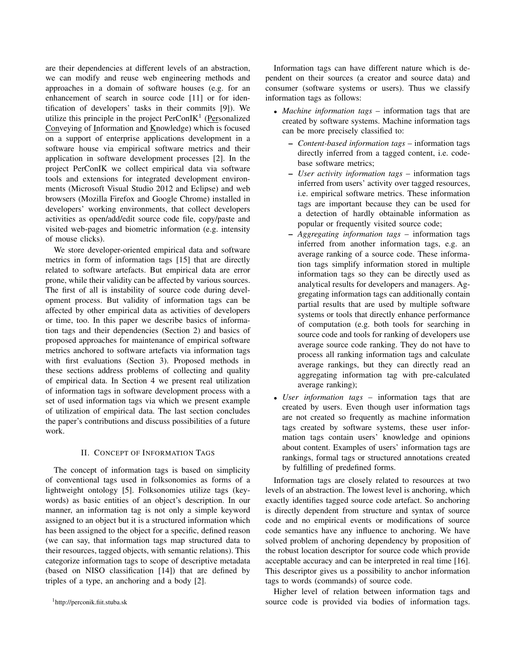are their dependencies at different levels of an abstraction, we can modify and reuse web engineering methods and approaches in a domain of software houses (e.g. for an enhancement of search in source code [11] or for identification of developers' tasks in their commits [9]). We utilize this principle in the project PerConIK<sup>1</sup> (Personalized Conveying of Information and Knowledge) which is focused on a support of enterprise applications development in a software house via empirical software metrics and their application in software development processes [2]. In the project PerConIK we collect empirical data via software tools and extensions for integrated development environments (Microsoft Visual Studio 2012 and Eclipse) and web browsers (Mozilla Firefox and Google Chrome) installed in developers' working environments, that collect developers activities as open/add/edit source code file, copy/paste and visited web-pages and biometric information (e.g. intensity of mouse clicks).

We store developer-oriented empirical data and software metrics in form of information tags [15] that are directly related to software artefacts. But empirical data are error prone, while their validity can be affected by various sources. The first of all is instability of source code during development process. But validity of information tags can be affected by other empirical data as activities of developers or time, too. In this paper we describe basics of information tags and their dependencies (Section 2) and basics of proposed approaches for maintenance of empirical software metrics anchored to software artefacts via information tags with first evaluations (Section 3). Proposed methods in these sections address problems of collecting and quality of empirical data. In Section 4 we present real utilization of information tags in software development process with a set of used information tags via which we present example of utilization of empirical data. The last section concludes the paper's contributions and discuss possibilities of a future work.

#### II. CONCEPT OF INFORMATION TAGS

The concept of information tags is based on simplicity of conventional tags used in folksonomies as forms of a lightweight ontology [5]. Folksonomies utilize tags (keywords) as basic entities of an object's description. In our manner, an information tag is not only a simple keyword assigned to an object but it is a structured information which has been assigned to the object for a specific, defined reason (we can say, that information tags map structured data to their resources, tagged objects, with semantic relations). This categorize information tags to scope of descriptive metadata (based on NISO classification [14]) that are defined by triples of a type, an anchoring and a body [2].

Information tags can have different nature which is dependent on their sources (a creator and source data) and consumer (software systems or users). Thus we classify information tags as follows:

- *Machine information tags* information tags that are created by software systems. Machine information tags can be more precisely classified to:
	- *Content-based information tags* information tags directly inferred from a tagged content, i.e. codebase software metrics;
	- *User activity information tags* information tags inferred from users' activity over tagged resources, i.e. empirical software metrics. These information tags are important because they can be used for a detection of hardly obtainable information as popular or frequently visited source code;
	- *Aggregating information tags* information tags inferred from another information tags, e.g. an average ranking of a source code. These information tags simplify information stored in multiple information tags so they can be directly used as analytical results for developers and managers. Aggregating information tags can additionally contain partial results that are used by multiple software systems or tools that directly enhance performance of computation (e.g. both tools for searching in source code and tools for ranking of developers use average source code ranking. They do not have to process all ranking information tags and calculate average rankings, but they can directly read an aggregating information tag with pre-calculated average ranking);
- *User information tags* information tags that are created by users. Even though user information tags are not created so frequently as machine information tags created by software systems, these user information tags contain users' knowledge and opinions about content. Examples of users' information tags are rankings, formal tags or structured annotations created by fulfilling of predefined forms.

Information tags are closely related to resources at two levels of an abstraction. The lowest level is anchoring, which exactly identifies tagged source code artefact. So anchoring is directly dependent from structure and syntax of source code and no empirical events or modifications of source code semantics have any influence to anchoring. We have solved problem of anchoring dependency by proposition of the robust location descriptor for source code which provide acceptable accuracy and can be interpreted in real time [16]. This descriptor gives us a possibility to anchor information tags to words (commands) of source code.

Higher level of relation between information tags and source code is provided via bodies of information tags.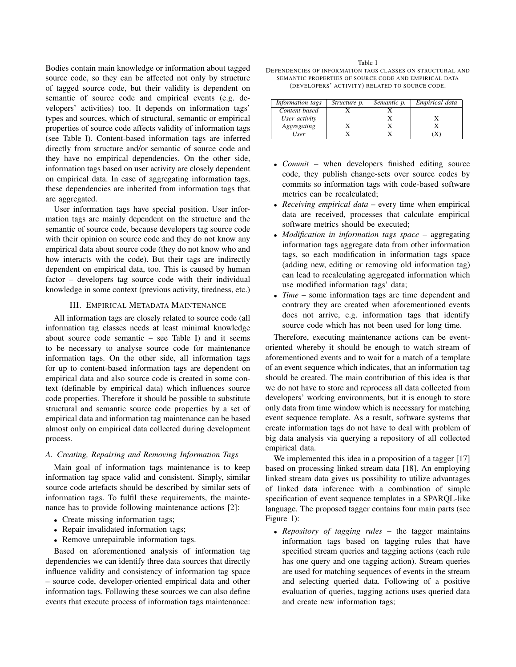Bodies contain main knowledge or information about tagged source code, so they can be affected not only by structure of tagged source code, but their validity is dependent on semantic of source code and empirical events (e.g. developers' activities) too. It depends on information tags' types and sources, which of structural, semantic or empirical properties of source code affects validity of information tags (see Table I). Content-based information tags are inferred directly from structure and/or semantic of source code and they have no empirical dependencies. On the other side, information tags based on user activity are closely dependent on empirical data. In case of aggregating information tags, these dependencies are inherited from information tags that are aggregated.

User information tags have special position. User information tags are mainly dependent on the structure and the semantic of source code, because developers tag source code with their opinion on source code and they do not know any empirical data about source code (they do not know who and how interacts with the code). But their tags are indirectly dependent on empirical data, too. This is caused by human factor – developers tag source code with their individual knowledge in some context (previous activity, tiredness, etc.)

### III. EMPIRICAL METADATA MAINTENANCE

All information tags are closely related to source code (all information tag classes needs at least minimal knowledge about source code semantic  $-$  see Table I) and it seems to be necessary to analyse source code for maintenance information tags. On the other side, all information tags for up to content-based information tags are dependent on empirical data and also source code is created in some context (definable by empirical data) which influences source code properties. Therefore it should be possible to substitute structural and semantic source code properties by a set of empirical data and information tag maintenance can be based almost only on empirical data collected during development process.

## *A. Creating, Repairing and Removing Information Tags*

Main goal of information tags maintenance is to keep information tag space valid and consistent. Simply, similar source code artefacts should be described by similar sets of information tags. To fulfil these requirements, the maintenance has to provide following maintenance actions [2]:

- Create missing information tags;
- Repair invalidated information tags;
- Remove unrepairable information tags.

Based on aforementioned analysis of information tag dependencies we can identify three data sources that directly influence validity and consistency of information tag space – source code, developer-oriented empirical data and other information tags. Following these sources we can also define events that execute process of information tags maintenance:

Table I DEPENDENCIES OF INFORMATION TAGS CLASSES ON STRUCTURAL AND SEMANTIC PROPERTIES OF SOURCE CODE AND EMPIRICAL DATA (DEVELOPERS' ACTIVITY) RELATED TO SOURCE CODE.

| Information tags | Structure <i>p</i> . | Semantic p. | Empirical data |
|------------------|----------------------|-------------|----------------|
| Content-based    |                      |             |                |
| User activity    |                      |             |                |
| Aggregating      |                      |             |                |
| User             |                      |             | л              |

- *Commit* when developers finished editing source code, they publish change-sets over source codes by commits so information tags with code-based software metrics can be recalculated;
- *Receiving empirical data* every time when empirical data are received, processes that calculate empirical software metrics should be executed;
- *Modification in information tags space* aggregating information tags aggregate data from other information tags, so each modification in information tags space (adding new, editing or removing old information tag) can lead to recalculating aggregated information which use modified information tags' data;
- *Time* some information tags are time dependent and contrary they are created when aforementioned events does not arrive, e.g. information tags that identify source code which has not been used for long time.

Therefore, executing maintenance actions can be eventoriented whereby it should be enough to watch stream of aforementioned events and to wait for a match of a template of an event sequence which indicates, that an information tag should be created. The main contribution of this idea is that we do not have to store and reprocess all data collected from developers' working environments, but it is enough to store only data from time window which is necessary for matching event sequence template. As a result, software systems that create information tags do not have to deal with problem of big data analysis via querying a repository of all collected empirical data.

We implemented this idea in a proposition of a tagger [17] based on processing linked stream data [18]. An employing linked stream data gives us possibility to utilize advantages of linked data inference with a combination of simple specification of event sequence templates in a SPARQL-like language. The proposed tagger contains four main parts (see Figure 1):

• *Repository of tagging rules* – the tagger maintains information tags based on tagging rules that have specified stream queries and tagging actions (each rule has one query and one tagging action). Stream queries are used for matching sequences of events in the stream and selecting queried data. Following of a positive evaluation of queries, tagging actions uses queried data and create new information tags;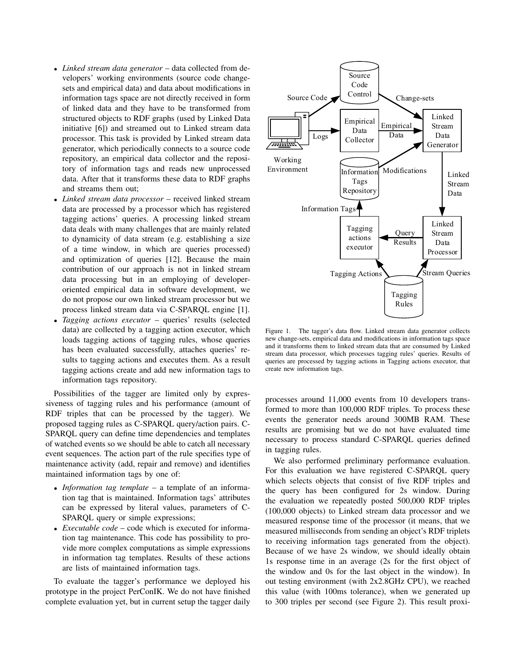- *Linked stream data generator* data collected from developers' working environments (source code changesets and empirical data) and data about modifications in information tags space are not directly received in form of linked data and they have to be transformed from structured objects to RDF graphs (used by Linked Data initiative [6]) and streamed out to Linked stream data processor. This task is provided by Linked stream data generator, which periodically connects to a source code repository, an empirical data collector and the repository of information tags and reads new unprocessed data. After that it transforms these data to RDF graphs and streams them out;
- *Linked stream data processor* received linked stream data are processed by a processor which has registered tagging actions' queries. A processing linked stream data deals with many challenges that are mainly related to dynamicity of data stream (e.g. establishing a size of a time window, in which are queries processed) and optimization of queries [12]. Because the main contribution of our approach is not in linked stream data processing but in an employing of developeroriented empirical data in software development, we do not propose our own linked stream processor but we process linked stream data via C-SPARQL engine [1].
- *Tagging actions executor* queries' results (selected data) are collected by a tagging action executor, which loads tagging actions of tagging rules, whose queries has been evaluated successfully, attaches queries' results to tagging actions and executes them. As a result tagging actions create and add new information tags to information tags repository.

Possibilities of the tagger are limited only by expressiveness of tagging rules and his performance (amount of RDF triples that can be processed by the tagger). We proposed tagging rules as C-SPARQL query/action pairs. C-SPARQL query can define time dependencies and templates of watched events so we should be able to catch all necessary event sequences. The action part of the rule specifies type of maintenance activity (add, repair and remove) and identifies maintained information tags by one of:

- *Information tag template* a template of an information tag that is maintained. Information tags' attributes can be expressed by literal values, parameters of C-SPARQL query or simple expressions;
- *Executable code* code which is executed for information tag maintenance. This code has possibility to provide more complex computations as simple expressions in information tag templates. Results of these actions are lists of maintained information tags.

To evaluate the tagger's performance we deployed his prototype in the project PerConIK. We do not have finished complete evaluation yet, but in current setup the tagger daily



Figure 1. The tagger's data flow. Linked stream data generator collects new change-sets, empirical data and modifications in information tags space and it transforms them to linked stream data that are consumed by Linked stream data processor, which processes tagging rules' queries. Results of queries are processed by tagging actions in Tagging actions executor, that create new information tags.

processes around 11,000 events from 10 developers transformed to more than 100,000 RDF triples. To process these events the generator needs around 300MB RAM. These results are promising but we do not have evaluated time necessary to process standard C-SPARQL queries defined in tagging rules.

We also performed preliminary performance evaluation. For this evaluation we have registered C-SPARQL query which selects objects that consist of five RDF triples and the query has been configured for 2s window. During the evaluation we repeatedly posted 500,000 RDF triples (100,000 objects) to Linked stream data processor and we measured response time of the processor (it means, that we measured milliseconds from sending an object's RDF triplets to receiving information tags generated from the object). Because of we have 2s window, we should ideally obtain 1s response time in an average (2s for the first object of the window and 0s for the last object in the window). In out testing environment (with 2x2.8GHz CPU), we reached this value (with 100ms tolerance), when we generated up to 300 triples per second (see Figure 2). This result proxi-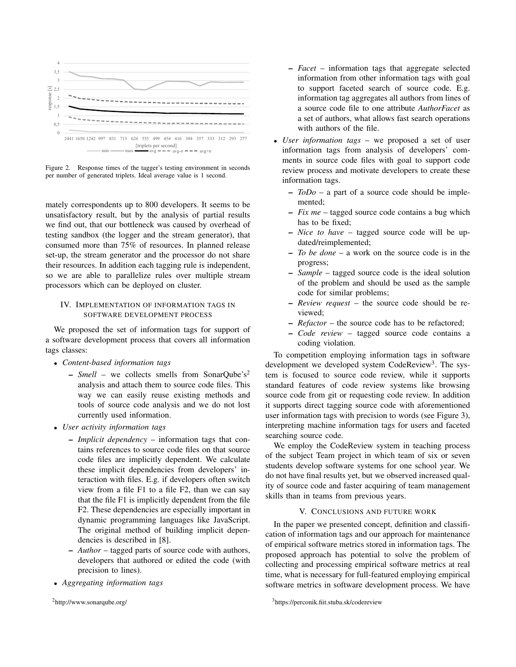

Figure 2. Response times of the tagger's testing environment in seconds per number of generated triplets. Ideal average value is 1 second.

mately correspondents up to 800 developers. It seems to be unsatisfactory result, but by the analysis of partial results we find out, that our bottleneck was caused by overhead of testing sandbox (the logger and the stream generator), that consumed more than 75% of resources. In planned release set-up, the stream generator and the processor do not share their resources. In addition each tagging rule is independent, so we are able to parallelize rules over multiple stream processors which can be deployed on cluster.

## IV. IMPLEMENTATION OF INFORMATION TAGS IN SOFTWARE DEVELOPMENT PROCESS

We proposed the set of information tags for support of a software development process that covers all information tags classes:

- *Content-based information tags*
	- *Smell* we collects smells from SonarQube's<sup>2</sup> analysis and attach them to source code files. This way we can easily reuse existing methods and tools of source code analysis and we do not lost currently used information.
- *User activity information tags*
	- *Implicit dependency* information tags that contains references to source code files on that source code files are implicitly dependent. We calculate these implicit dependencies from developers' interaction with files. E.g. if developers often switch view from a file F1 to a file F2, than we can say that the file F1 is implicitly dependent from the file F2. These dependencies are especially important in dynamic programming languages like JavaScript. The original method of building implicit dependencies is described in [8].
	- *Author* tagged parts of source code with authors, developers that authored or edited the code (with precision to lines).
- *Aggregating information tags*
- *Facet* information tags that aggregate selected information from other information tags with goal to support faceted search of source code. E.g. information tag aggregates all authors from lines of a source code file to one attribute *AuthorFacet* as a set of authors, what allows fast search operations with authors of the file.
- *User information tags* we proposed a set of user information tags from analysis of developers' comments in source code files with goal to support code review process and motivate developers to create these information tags.
	- *ToDo* a part of a source code should be implemented;
	- *Fix me* tagged source code contains a bug which has to be fixed;
	- *Nice to have* tagged source code will be updated/reimplemented;
	- *To be done* a work on the source code is in the progress;
	- *Sample* tagged source code is the ideal solution of the problem and should be used as the sample code for similar problems;
	- *Review request* the source code should be reviewed;
	- *Refactor* the source code has to be refactored;
	- *Code review* tagged source code contains a coding violation.

To competition employing information tags in software development we developed system CodeReview<sup>3</sup>. The system is focused to source code review, while it supports standard features of code review systems like browsing source code from git or requesting code review. In addition it supports direct tagging source code with aforementioned user information tags with precision to words (see Figure 3), interpreting machine information tags for users and faceted searching source code.

We employ the CodeReview system in teaching process of the subject Team project in which team of six or seven students develop software systems for one school year. We do not have final results yet, but we observed increased quality of source code and faster acquiring of team management skills than in teams from previous years.

## V. CONCLUSIONS AND FUTURE WORK

In the paper we presented concept, definition and classification of information tags and our approach for maintenance of empirical software metrics stored in information tags. The proposed approach has potential to solve the problem of collecting and processing empirical software metrics at real time, what is necessary for full-featured employing empirical software metrics in software development process. We have

<sup>3</sup>https://perconik.fiit.stuba.sk/codereview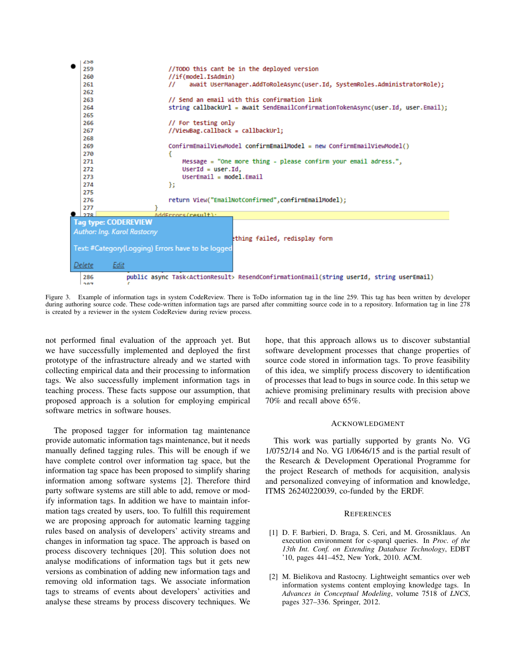

Figure 3. Example of information tags in system CodeReview. There is ToDo information tag in the line 259. This tag has been written by developer during authoring source code. These code-written information tags are parsed after committing source code in to a repository. Information tag in line 278 is created by a reviewer in the system CodeReview during review process.

not performed final evaluation of the approach yet. But we have successfully implemented and deployed the first prototype of the infrastructure already and we started with collecting empirical data and their processing to information tags. We also successfully implement information tags in teaching process. These facts suppose our assumption, that proposed approach is a solution for employing empirical software metrics in software houses.

The proposed tagger for information tag maintenance provide automatic information tags maintenance, but it needs manually defined tagging rules. This will be enough if we have complete control over information tag space, but the information tag space has been proposed to simplify sharing information among software systems [2]. Therefore third party software systems are still able to add, remove or modify information tags. In addition we have to maintain information tags created by users, too. To fulfill this requirement we are proposing approach for automatic learning tagging rules based on analysis of developers' activity streams and changes in information tag space. The approach is based on process discovery techniques [20]. This solution does not analyse modifications of information tags but it gets new versions as combination of adding new information tags and removing old information tags. We associate information tags to streams of events about developers' activities and analyse these streams by process discovery techniques. We hope, that this approach allows us to discover substantial software development processes that change properties of source code stored in information tags. To prove feasibility of this idea, we simplify process discovery to identification of processes that lead to bugs in source code. In this setup we achieve promising preliminary results with precision above 70% and recall above 65%.

#### ACKNOWLEDGMENT

This work was partially supported by grants No. VG 1/0752/14 and No. VG 1/0646/15 and is the partial result of the Research & Development Operational Programme for the project Research of methods for acquisition, analysis and personalized conveying of information and knowledge, ITMS 26240220039, co-funded by the ERDF.

#### **REFERENCES**

- [1] D. F. Barbieri, D. Braga, S. Ceri, and M. Grossniklaus. An execution environment for c-sparql queries. In *Proc. of the 13th Int. Conf. on Extending Database Technology*, EDBT '10, pages 441–452, New York, 2010. ACM.
- [2] M. Bielikova and Rastocny. Lightweight semantics over web information systems content employing knowledge tags. In *Advances in Conceptual Modeling*, volume 7518 of *LNCS*, pages 327–336. Springer, 2012.